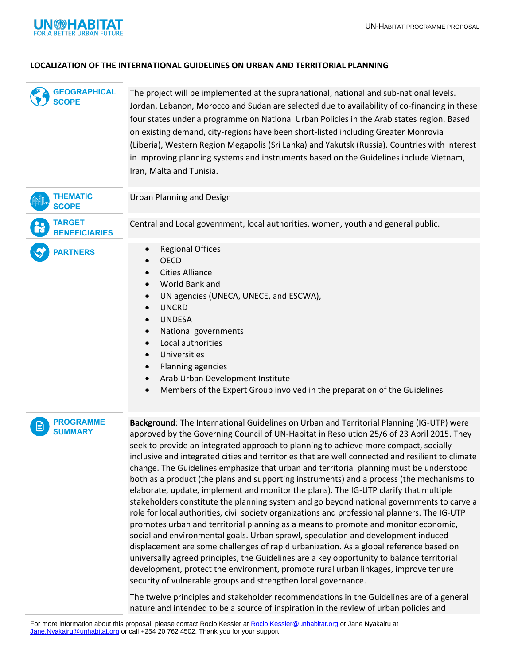

#### **LOCALIZATION OF THE INTERNATIONAL GUIDELINES ON URBAN AND TERRITORIAL PLANNING**

The project will be implemented at the supranational, national and sub-national levels. Jordan, Lebanon, Morocco and Sudan are selected due to availability of co-financing in these four states under a programme on National Urban Policies in the Arab states region. Based on existing demand, city-regions have been short-listed including Greater Monrovia (Liberia), Western Region Megapolis (Sri Lanka) and Yakutsk (Russia). Countries with interest in improving planning systems and instruments based on the Guidelines include Vietnam, Iran, Malta and Tunisia. **SCOPE**



- World Bank and
- UN agencies (UNECA, UNECE, and ESCWA),
- UNCRD
- UNDESA
- National governments
- Local authorities
- Universities
- Planning agencies
- Arab Urban Development Institute
- Members of the Expert Group involved in the preparation of the Guidelines

#### **PROGRAMME SUMMARY**

**Background**: The International Guidelines on Urban and Territorial Planning (IG-UTP) were approved by the Governing Council of UN-Habitat in Resolution 25/6 of 23 April 2015. They seek to provide an integrated approach to planning to achieve more compact, socially inclusive and integrated cities and territories that are well connected and resilient to climate change. The Guidelines emphasize that urban and territorial planning must be understood both as a product (the plans and supporting instruments) and a process (the mechanisms to elaborate, update, implement and monitor the plans). The IG-UTP clarify that multiple stakeholders constitute the planning system and go beyond national governments to carve a role for local authorities, civil society organizations and professional planners. The IG-UTP promotes urban and territorial planning as a means to promote and monitor economic, social and environmental goals. Urban sprawl, speculation and development induced displacement are some challenges of rapid urbanization. As a global reference based on universally agreed principles, the Guidelines are a key opportunity to balance territorial development, protect the environment, promote rural urban linkages, improve tenure security of vulnerable groups and strengthen local governance. COGARAMICAL The project will be implemented at the summaturison in resistance and sub-antiomation internal to the CASCOPE<br>
SCOPE Institution the review are programment Material internet in the final based state region of t

The twelve principles and stakeholder recommendations in the Guidelines are of a general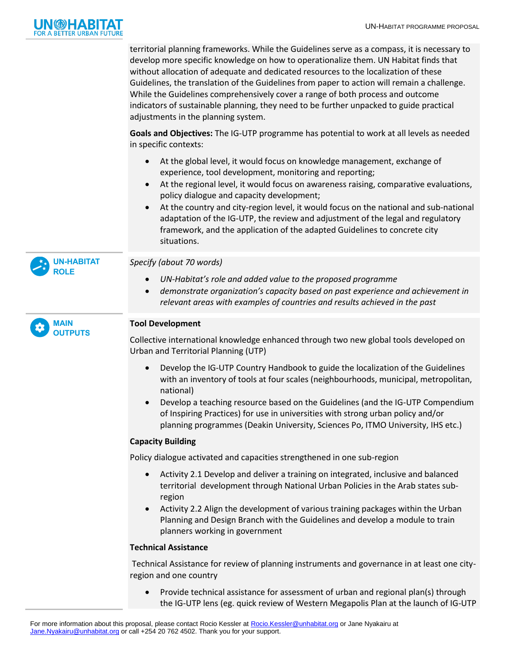

territorial planning frameworks. While the Guidelines serve as a compass, it is necessary to develop more specific knowledge on how to operationalize them. UN Habitat finds that without allocation of adequate and dedicated resources to the localization of these Guidelines, the translation of the Guidelines from paper to action will remain a challenge. While the Guidelines comprehensively cover a range of both process and outcome indicators of sustainable planning, they need to be further unpacked to guide practical adjustments in the planning system.

**Goals and Objectives:** The IG-UTP programme has potential to work at all levels as needed in specific contexts:

- At the global level, it would focus on knowledge management, exchange of experience, tool development, monitoring and reporting;
- At the regional level, it would focus on awareness raising, comparative evaluations, policy dialogue and capacity development;
- At the country and city-region level, it would focus on the national and sub-national adaptation of the IG-UTP, the review and adjustment of the legal and regulatory framework, and the application of the adapted Guidelines to concrete city situations.



# *Specify (about 70 words)*

- *UN-Habitat's role and added value to the proposed programme*
- *demonstrate organization's capacity based on past experience and achievement in relevant areas with examples of countries and results achieved in the past*



## **Tool Development**

Collective international knowledge enhanced through two new global tools developed on Urban and Territorial Planning (UTP)

- Develop the IG-UTP Country Handbook to guide the localization of the Guidelines with an inventory of tools at four scales (neighbourhoods, municipal, metropolitan, national)
- Develop a teaching resource based on the Guidelines (and the IG-UTP Compendium of Inspiring Practices) for use in universities with strong urban policy and/or planning programmes (Deakin University, Sciences Po, ITMO University, IHS etc.)

## **Capacity Building**

Policy dialogue activated and capacities strengthened in one sub-region

- Activity 2.1 Develop and deliver a training on integrated, inclusive and balanced territorial development through National Urban Policies in the Arab states subregion
- Activity 2.2 Align the development of various training packages within the Urban Planning and Design Branch with the Guidelines and develop a module to train planners working in government

## **Technical Assistance**

Technical Assistance for review of planning instruments and governance in at least one cityregion and one country

 Provide technical assistance for assessment of urban and regional plan(s) through the IG-UTP lens (eg. quick review of Western Megapolis Plan at the launch of IG-UTP